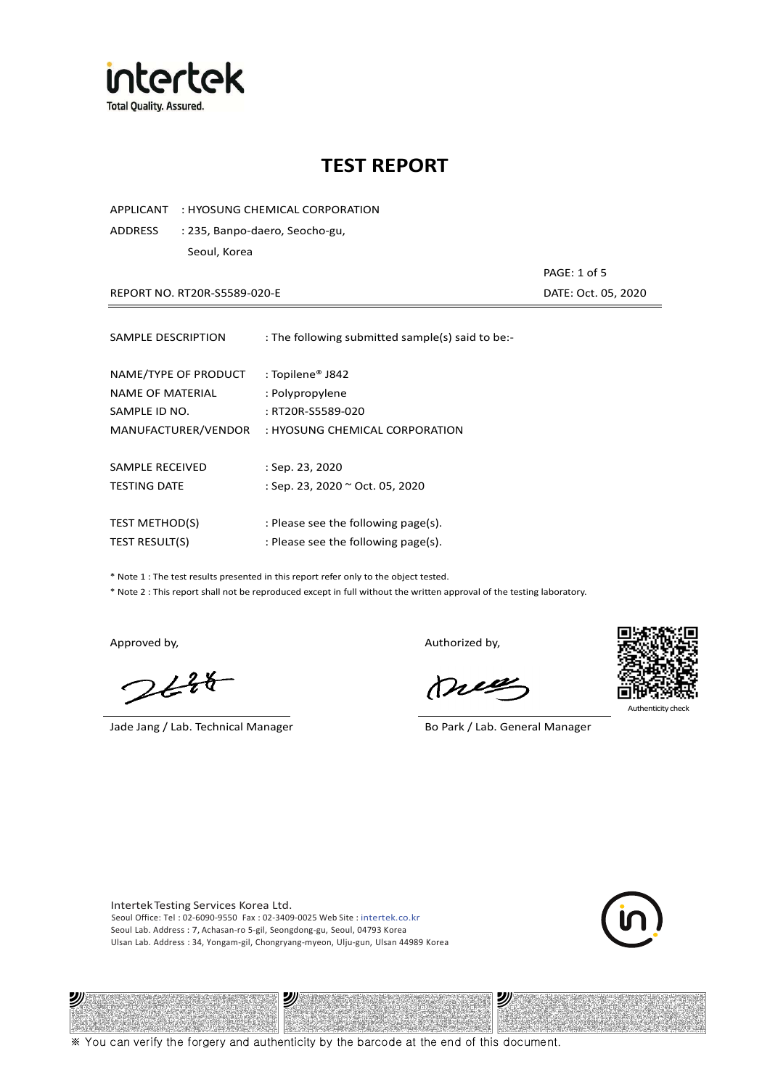

APPLICANT : HYOSUNG CHEMICAL CORPORATION

ADDRESS : 235, Banpo-daero, Seocho-gu, Seoul, Korea

REPORT NO. RT20R-S5589-020-E DATE: Oct. 05, 2020

PAGE: 1 of 5

| SAMPLE DESCRIPTION                                        | : The following submitted sample(s) said to be:-         |
|-----------------------------------------------------------|----------------------------------------------------------|
| NAME/TYPE OF PRODUCT<br>NAME OF MATERIAL<br>SAMPLE ID NO. | : Topilene® J842<br>: Polypropylene<br>: RT20R-S5589-020 |
| MANUFACTURER/VENDOR                                       | : HYOSUNG CHEMICAL CORPORATION                           |
|                                                           |                                                          |
| SAMPLE RECEIVED                                           | : Sep. 23, 2020                                          |
| <b>TESTING DATE</b>                                       | : Sep. 23, 2020 ~ Oct. 05, 2020                          |
| <b>TEST METHOD(S)</b>                                     | : Please see the following page(s).                      |
| <b>TEST RESULT(S)</b>                                     | : Please see the following page(s).                      |

\* Note 1 : The test results presented in this report refer only to the object tested.

\* Note 2 : This report shall not be reproduced except in full without the written approval of the testing laboratory.

 $2648$ 

Jade Jang / Lab. Technical Manager Bo Park / Lab. General Manager

Approved by, and the control of the control of the Authorized by,

mes



Authenticity

Intertek Testing Services Korea Ltd. Seoul Office: Tel : 02-6090-9550 Fax : 02-3409-0025 Web Site : intertek.co.kr Seoul Lab. Address : 7, Achasan-ro 5-gil, Seongdong-gu, Seoul, 04793 Korea Ulsan Lab. Address : 34, Yongam-gil, Chongryang-myeon, Ulju-gun, Ulsan 44989 Korea





※ You can verify the forgery and authenticity by the barcode at the end of this document.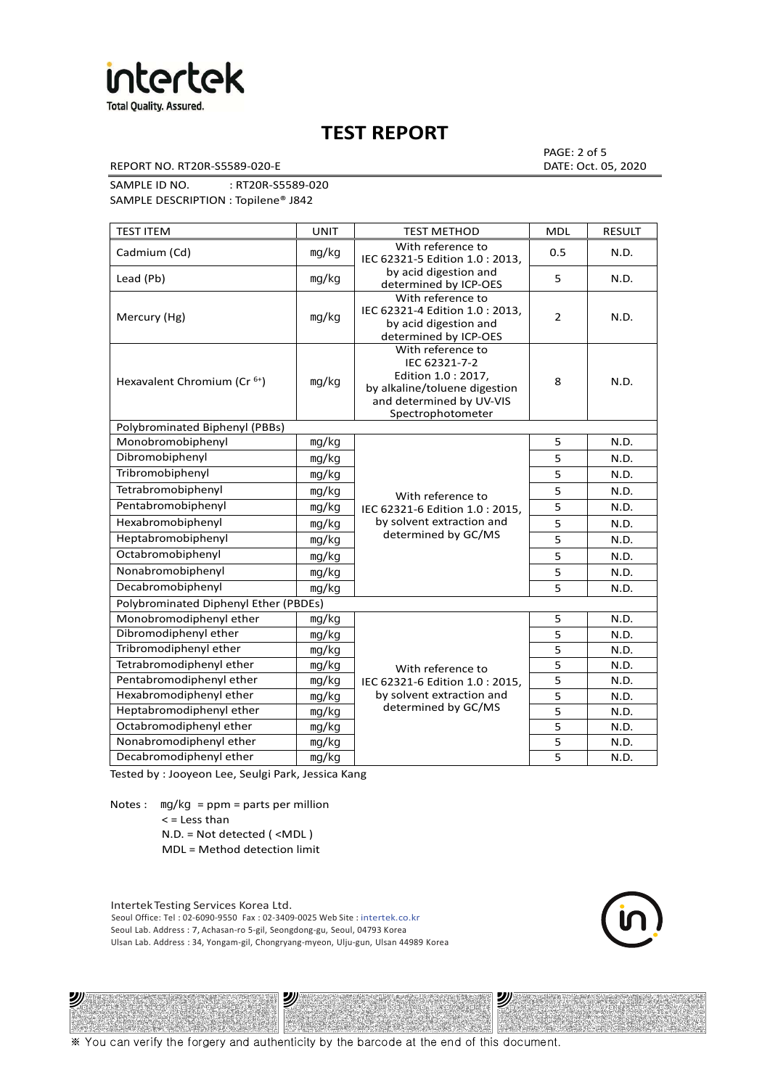

REPORT NO. RT20R-S5589-020-E DATE: Oct. 05, 2020

PAGE: 2 of 5

SAMPLE ID NO. : RT20R-S5589-020 SAMPLE DESCRIPTION : Topilene® J842

| <b>TEST ITEM</b>                        | <b>UNIT</b> | TEST METHOD                                                                                                                                | <b>MDL</b>     | <b>RESULT</b> |
|-----------------------------------------|-------------|--------------------------------------------------------------------------------------------------------------------------------------------|----------------|---------------|
| Cadmium (Cd)                            | mg/kg       | With reference to<br>IEC 62321-5 Edition 1.0: 2013.                                                                                        | 0.5            | N.D.          |
| Lead (Pb)                               | mq/kg       | by acid digestion and<br>determined by ICP-OES                                                                                             | 5              | N.D.          |
| Mercury (Hg)                            | mg/kg       | With reference to<br>IEC 62321-4 Edition 1.0 : 2013,<br>by acid digestion and<br>determined by ICP-OES                                     | $\overline{2}$ | N.D.          |
| Hexavalent Chromium (Cr <sup>6+</sup> ) | mg/kg       | With reference to<br>IEC 62321-7-2<br>Edition 1.0: 2017,<br>by alkaline/toluene digestion<br>and determined by UV-VIS<br>Spectrophotometer | 8              | N.D.          |
| Polybrominated Biphenyl (PBBs)          |             |                                                                                                                                            |                |               |
| Monobromobiphenyl                       | mg/kg       |                                                                                                                                            | 5              | N.D.          |
| Dibromobiphenyl                         | mg/kg       |                                                                                                                                            | 5              | N.D.          |
| Tribromobiphenyl                        | mg/kg       |                                                                                                                                            | 5              | N.D.          |
| Tetrabromobiphenyl                      | mg/kg       | With reference to                                                                                                                          | $\overline{5}$ | N.D.          |
| Pentabromobiphenyl                      | mg/kg       | IEC 62321-6 Edition 1.0: 2015,                                                                                                             | 5              | N.D.          |
| Hexabromobiphenyl                       | mg/kg       | by solvent extraction and                                                                                                                  | 5              | N.D.          |
| Heptabromobiphenyl                      | mg/kg       | determined by GC/MS                                                                                                                        | 5              | N.D.          |
| Octabromobiphenyl                       | mg/kg       |                                                                                                                                            | 5              | N.D.          |
| Nonabromobiphenyl                       | mg/kg       |                                                                                                                                            | $\overline{5}$ | N.D.          |
| Decabromobiphenyl                       | mg/kg       |                                                                                                                                            | 5              | N.D.          |
| Polybrominated Diphenyl Ether (PBDEs)   |             |                                                                                                                                            |                |               |
| Monobromodiphenyl ether                 | mg/kg       |                                                                                                                                            | 5              | N.D.          |
| Dibromodiphenyl ether                   | mg/kg       |                                                                                                                                            | 5              | N.D.          |
| Tribromodiphenyl ether                  | mg/kg       |                                                                                                                                            | 5              | N.D.          |
| Tetrabromodiphenyl ether                | mg/kg       | With reference to                                                                                                                          | 5              | N.D.          |
| Pentabromodiphenyl ether                | mg/kg       | IEC 62321-6 Edition 1.0 : 2015,                                                                                                            | 5              | N.D.          |
| Hexabromodiphenyl ether                 | mg/kg       | by solvent extraction and                                                                                                                  | 5              | N.D.          |
| Heptabromodiphenyl ether                | mg/kg       | determined by GC/MS                                                                                                                        | 5              | N.D.          |
| Octabromodiphenyl ether                 | mg/kg       |                                                                                                                                            | 5              | N.D.          |
| Nonabromodiphenyl ether                 | mg/kg       |                                                                                                                                            |                | N.D.          |
| Decabromodiphenyl ether                 | mg/kg       |                                                                                                                                            | 5              | N.D.          |

Tested by : Jooyeon Lee, Seulgi Park, Jessica Kang

Notes : mg/kg = ppm = parts per million  $<$  = Less than

沙

N.D. = Not detected ( <MDL )

MDL = Method detection limit

Intertek Testing Services Korea Ltd. Seoul Office: Tel : 02-6090-9550 Fax : 02-3409-0025 Web Site : intertek.co.kr Seoul Lab. Address : 7, Achasan-ro 5-gil, Seongdong-gu, Seoul, 04793 Korea Ulsan Lab. Address : 34, Yongam-gil, Chongryang-myeon, Ulju-gun, Ulsan 44989 Korea

沙

沙

※ You can verify the forgery and authenticity by the barcode at the end of this document.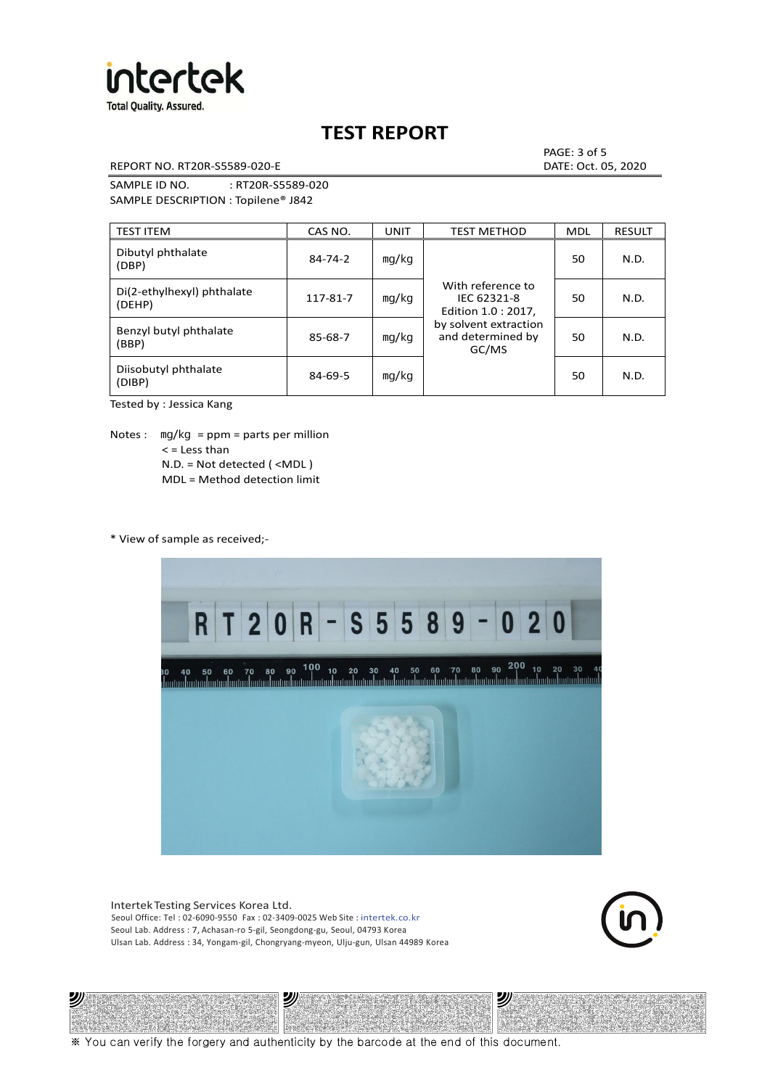

REPORT NO. RT20R-S5589-020-E DATE: Oct. 05, 2020

PAGE: 3 of 5

SAMPLE ID NO. : RT20R-S5589-020 SAMPLE DESCRIPTION : Topilene® J842

| <b>TEST ITEM</b>                     | CAS NO.       | <b>UNIT</b> | <b>TEST METHOD</b>                                      | <b>MDL</b> | <b>RESULT</b> |
|--------------------------------------|---------------|-------------|---------------------------------------------------------|------------|---------------|
| Dibutyl phthalate<br>(DBP)           | 84-74-2       | mg/kg       | With reference to<br>IEC 62321-8<br>Edition 1.0 : 2017, | 50         | N.D.          |
| Di(2-ethylhexyl) phthalate<br>(DEHP) | 117-81-7      | mg/kg       |                                                         | 50         | N.D.          |
| Benzyl butyl phthalate<br>(BBP)      | 85-68-7       | mg/kg       | by solvent extraction<br>and determined by<br>GC/MS     | 50         | N.D.          |
| Diisobutyl phthalate<br>(DIBP)       | $84 - 69 - 5$ | mg/kg       |                                                         | 50         | N.D.          |

Tested by : Jessica Kang

Notes :  $mq/kg = ppm = parts per million$  $<$  = Less than N.D. = Not detected ( <MDL ) MDL = Method detection limit

\* View of sample as received;-

沙



Intertek Testing Services Korea Ltd. Seoul Office: Tel : 02-6090-9550 Fax : 02-3409-0025 Web Site : intertek.co.kr Seoul Lab. Address : 7, Achasan-ro 5-gil, Seongdong-gu, Seoul, 04793 Korea Ulsan Lab. Address : 34, Yongam-gil, Chongryang-myeon, Ulju-gun, Ulsan 44989 Korea

沙



沙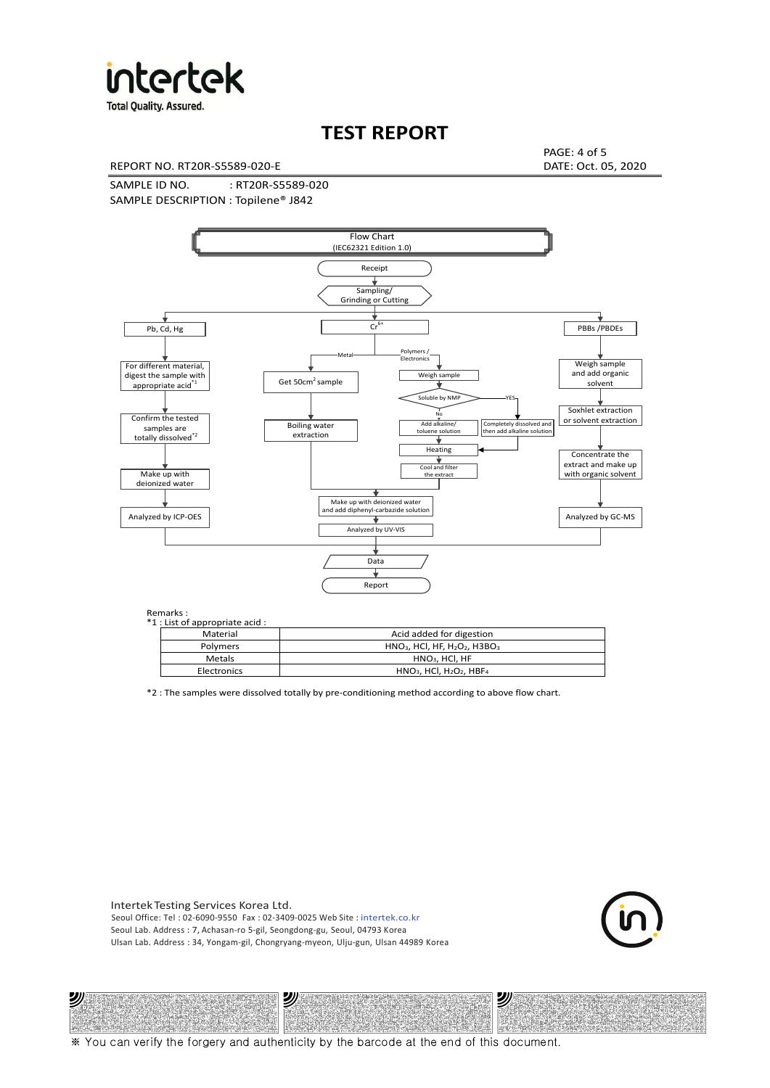

**Total Quality. Assured.** 

## **TEST REPORT**

REPORT NO. RT20R-S5589-020-E DATE: Oct. 05, 2020

PAGE: 4 of 5

SAMPLE ID NO. : RT20R-S5589-020 SAMPLE DESCRIPTION : Topilene® J842



| *1 : List of appropriate acid : |                                                                     |
|---------------------------------|---------------------------------------------------------------------|
| Material                        | Acid added for digestion                                            |
| Polymers                        | $HNO3$ , HCl, HF, H <sub>2</sub> O <sub>2</sub> , H3BO <sub>3</sub> |
| Metals                          | $HNO3$ . HCl. HF                                                    |
| Electronics                     | $HNO3$ , HCl, H <sub>2</sub> O <sub>2</sub> , HBF <sub>4</sub>      |

\*2 : The samples were dissolved totally by pre-conditioning method according to above flow chart.

Intertek Testing Services Korea Ltd. Seoul Office: Tel : 02-6090-9550 Fax : 02-3409-0025 Web Site : intertek.co.kr Seoul Lab. Address : 7, Achasan-ro 5-gil, Seongdong-gu, Seoul, 04793 Korea Ulsan Lab. Address : 34, Yongam-gil, Chongryang-myeon, Ulju-gun, Ulsan 44989 Korea

沙

沙



沙